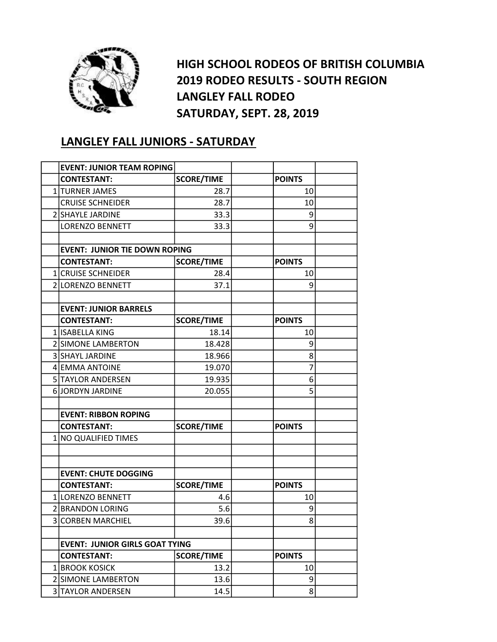

HIGH SCHOOL RODEOS OF BRITISH COLUMBIA 2019 RODEO RESULTS - SOUTH REGION LANGLEY FALL RODEO SATURDAY, SEPT. 28, 2019

## LANGLEY FALL JUNIORS - SATURDAY

|                | <b>EVENT: JUNIOR TEAM ROPING</b>      |                   |               |  |
|----------------|---------------------------------------|-------------------|---------------|--|
|                | <b>CONTESTANT:</b>                    | <b>SCORE/TIME</b> | <b>POINTS</b> |  |
|                | 1 TURNER JAMES                        | 28.7              | 10            |  |
|                | <b>CRUISE SCHNEIDER</b>               | 28.7              | 10            |  |
|                | 2 SHAYLE JARDINE                      | 33.3              | 9             |  |
|                | <b>LORENZO BENNETT</b>                | 33.3              | 9             |  |
|                |                                       |                   |               |  |
|                | <b>EVENT: JUNIOR TIE DOWN ROPING</b>  |                   |               |  |
|                | <b>CONTESTANT:</b>                    | <b>SCORE/TIME</b> | <b>POINTS</b> |  |
|                | <b>1 CRUISE SCHNEIDER</b>             | 28.4              | 10            |  |
|                | 2 LORENZO BENNETT                     | 37.1              | 9             |  |
|                |                                       |                   |               |  |
|                | <b>EVENT: JUNIOR BARRELS</b>          |                   |               |  |
|                | <b>CONTESTANT:</b>                    | <b>SCORE/TIME</b> | <b>POINTS</b> |  |
|                | 1 ISABELLA KING                       | 18.14             | 10            |  |
|                | 2 SIMONE LAMBERTON                    | 18.428            | 9             |  |
|                | <b>3 SHAYL JARDINE</b>                | 18.966            | 8             |  |
|                | <b>4 EMMA ANTOINE</b>                 | 19.070            | 7             |  |
|                | 5 TAYLOR ANDERSEN                     | 19.935            | 6             |  |
|                | <b>6 JORDYN JARDINE</b>               | 20.055            | 5             |  |
|                |                                       |                   |               |  |
|                | <b>EVENT: RIBBON ROPING</b>           |                   |               |  |
|                | <b>CONTESTANT:</b>                    | <b>SCORE/TIME</b> | <b>POINTS</b> |  |
|                | 1 NO QUALIFIED TIMES                  |                   |               |  |
|                |                                       |                   |               |  |
|                |                                       |                   |               |  |
|                | <b>EVENT: CHUTE DOGGING</b>           |                   |               |  |
|                | <b>CONTESTANT:</b>                    | <b>SCORE/TIME</b> | <b>POINTS</b> |  |
|                | 1 LORENZO BENNETT                     | 4.6               | 10            |  |
|                | 2 BRANDON LORING                      | 5.6               | 9             |  |
| $\overline{3}$ | <b>CORBEN MARCHIEL</b>                | 39.6              | 8             |  |
|                |                                       |                   |               |  |
|                | <b>EVENT: JUNIOR GIRLS GOAT TYING</b> |                   |               |  |
|                | <b>CONTESTANT:</b>                    | <b>SCORE/TIME</b> | <b>POINTS</b> |  |
|                | 1 BROOK KOSICK                        | 13.2              | 10            |  |
|                | 2 SIMONE LAMBERTON                    | 13.6              | 9             |  |
|                | 3 TAYLOR ANDERSEN                     | 14.5              | 8             |  |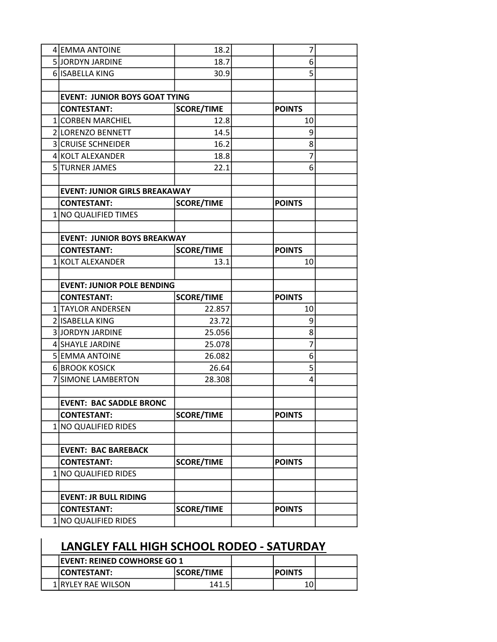| 4 EMMA ANTOINE                       | 18.2              | 7             |  |
|--------------------------------------|-------------------|---------------|--|
| 5JJORDYN JARDINE                     | 18.7              | 6             |  |
| 6 ISABELLA KING                      | 30.9              | 5             |  |
|                                      |                   |               |  |
| <b>EVENT: JUNIOR BOYS GOAT TYING</b> |                   |               |  |
| <b>CONTESTANT:</b>                   | <b>SCORE/TIME</b> | <b>POINTS</b> |  |
| 1 CORBEN MARCHIEL                    | 12.8              | 10            |  |
| 2 LORENZO BENNETT                    | 14.5              | 9             |  |
| <b>3 CRUISE SCHNEIDER</b>            | 16.2              | 8             |  |
| <b>4 KOLT ALEXANDER</b>              | 18.8              | 7             |  |
| 5 TURNER JAMES                       | 22.1              | 6             |  |
|                                      |                   |               |  |
| <b>EVENT: JUNIOR GIRLS BREAKAWAY</b> |                   |               |  |
| <b>CONTESTANT:</b>                   | <b>SCORE/TIME</b> | <b>POINTS</b> |  |
| 1 NO QUALIFIED TIMES                 |                   |               |  |
|                                      |                   |               |  |
| <b>EVENT: JUNIOR BOYS BREAKWAY</b>   |                   |               |  |
| <b>CONTESTANT:</b>                   | <b>SCORE/TIME</b> | <b>POINTS</b> |  |
| 1 KOLT ALEXANDER                     | 13.1              | 10            |  |
|                                      |                   |               |  |
| <b>EVENT: JUNIOR POLE BENDING</b>    |                   |               |  |
| <b>CONTESTANT:</b>                   | <b>SCORE/TIME</b> | <b>POINTS</b> |  |
| 1 TAYLOR ANDERSEN                    | 22.857            | 10            |  |
| 2 ISABELLA KING                      | 23.72             | 9             |  |
| <b>3 JORDYN JARDINE</b>              | 25.056            | 8             |  |
| 4 SHAYLE JARDINE                     | 25.078            | 7             |  |
| 5 EMMA ANTOINE                       | 26.082            | 6             |  |
| 6 BROOK KOSICK                       | 26.64             | 5             |  |
| 7 SIMONE LAMBERTON                   | 28.308            | 4             |  |
|                                      |                   |               |  |
| <b>EVENT: BAC SADDLE BRONC</b>       |                   |               |  |
| <b>CONTESTANT:</b>                   | <b>SCORE/TIME</b> | <b>POINTS</b> |  |
| 1 NO QUALIFIED RIDES                 |                   |               |  |
|                                      |                   |               |  |
| <b>EVENT: BAC BAREBACK</b>           |                   |               |  |
| <b>CONTESTANT:</b>                   | <b>SCORE/TIME</b> | <b>POINTS</b> |  |
| 1 NO QUALIFIED RIDES                 |                   |               |  |
|                                      |                   |               |  |
| <b>EVENT: JR BULL RIDING</b>         |                   |               |  |
| <b>CONTESTANT:</b>                   | <b>SCORE/TIME</b> | <b>POINTS</b> |  |
| 1 NO QUALIFIED RIDES                 |                   |               |  |

## LANGLEY FALL HIGH SCHOOL RODEO - SATURDAY

| <b>IEVENT: REINED COWHORSE GO 1</b> |                   |               |  |
|-------------------------------------|-------------------|---------------|--|
| <b>ICONTESTANT:</b>                 | <b>SCORE/TIME</b> | <b>POINTS</b> |  |
| 1 IRYLEY RAE WILSON                 | 141.5             |               |  |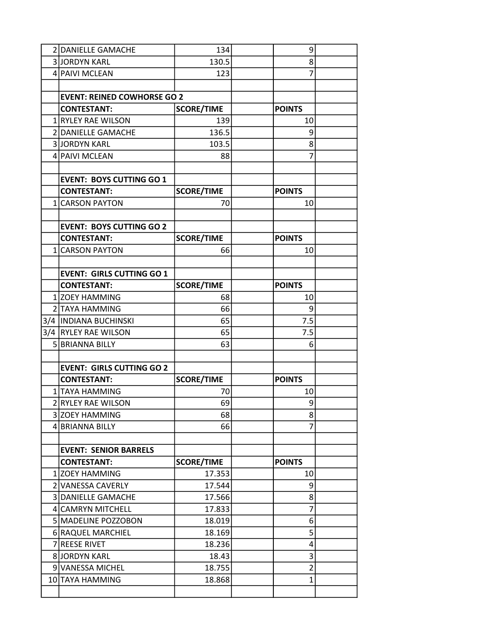| 2 DANIELLE GAMACHE                 | 134               | 9              |  |
|------------------------------------|-------------------|----------------|--|
| 3JORDYN KARL                       | 130.5             | 8              |  |
| 4 PAIVI MCLEAN                     | 123               | 7              |  |
|                                    |                   |                |  |
| <b>EVENT: REINED COWHORSE GO 2</b> |                   |                |  |
| <b>CONTESTANT:</b>                 | <b>SCORE/TIME</b> | <b>POINTS</b>  |  |
| 1 RYLEY RAE WILSON                 | 139               | 10             |  |
| 2 DANIELLE GAMACHE                 | 136.5             | 9              |  |
| 3JORDYN KARL                       | 103.5             | 8              |  |
| 4 PAIVI MCLEAN                     | 88                | 7              |  |
|                                    |                   |                |  |
| <b>EVENT: BOYS CUTTING GO 1</b>    |                   |                |  |
| <b>CONTESTANT:</b>                 | <b>SCORE/TIME</b> | <b>POINTS</b>  |  |
| 1 CARSON PAYTON                    | 70                | 10             |  |
|                                    |                   |                |  |
| <b>EVENT: BOYS CUTTING GO 2</b>    |                   |                |  |
| <b>CONTESTANT:</b>                 | <b>SCORE/TIME</b> | <b>POINTS</b>  |  |
| 1 CARSON PAYTON                    | 66                | 10             |  |
|                                    |                   |                |  |
| <b>EVENT: GIRLS CUTTING GO 1</b>   |                   |                |  |
| <b>CONTESTANT:</b>                 | <b>SCORE/TIME</b> | <b>POINTS</b>  |  |
| 1 ZOEY HAMMING                     | 68                | 10             |  |
| 2 TAYA HAMMING                     | 66                | 9              |  |
| 3/4   INDIANA BUCHINSKI            | 65                | 7.5            |  |
| 3/4 RYLEY RAE WILSON               | 65                | 7.5            |  |
| 5 BRIANNA BILLY                    | 63                | 6              |  |
|                                    |                   |                |  |
| <b>EVENT: GIRLS CUTTING GO 2</b>   |                   |                |  |
| <b>CONTESTANT:</b>                 | <b>SCORE/TIME</b> | <b>POINTS</b>  |  |
| 1 TAYA HAMMING                     | 70                | 10             |  |
| 2 RYLEY RAE WILSON                 | 69                | $\overline{9}$ |  |
| 3 ZOEY HAMMING                     | 68                | 8              |  |
| 4 BRIANNA BILLY                    | 66                | 7              |  |
|                                    |                   |                |  |
| <b>EVENT: SENIOR BARRELS</b>       |                   |                |  |
| <b>CONTESTANT:</b>                 | <b>SCORE/TIME</b> | <b>POINTS</b>  |  |
| 1 ZOEY HAMMING                     | 17.353            | 10             |  |
| 2 VANESSA CAVERLY                  | 17.544            | 9              |  |
| 3 DANIELLE GAMACHE                 | 17.566            | 8              |  |
| 4 CAMRYN MITCHELL                  | 17.833            | 7              |  |
| 5 MADELINE POZZOBON                | 18.019            | 6              |  |
| 6 RAQUEL MARCHIEL                  | 18.169            | 5              |  |
| 7 REESE RIVET                      | 18.236            | 4              |  |
| 8JORDYN KARL                       | 18.43             | 3              |  |
| 9 VANESSA MICHEL                   | 18.755            | $\overline{2}$ |  |
| 10 TAYA HAMMING                    | 18.868            | 1              |  |
|                                    |                   |                |  |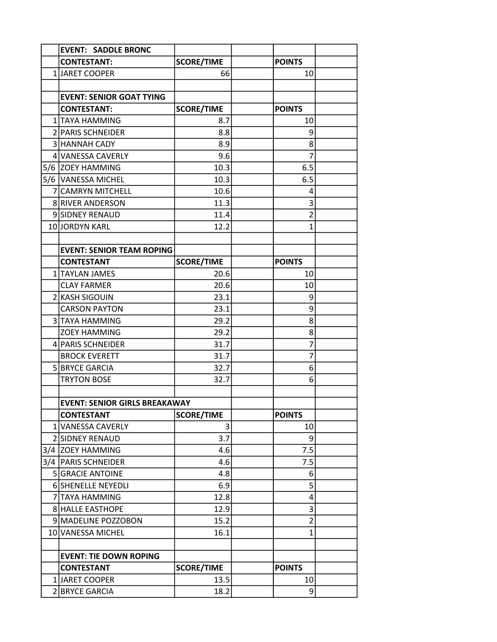| <b>EVENT: SADDLE BRONC</b>           |                   |                |  |
|--------------------------------------|-------------------|----------------|--|
| <b>CONTESTANT:</b>                   | <b>SCORE/TIME</b> | <b>POINTS</b>  |  |
| 1 JARET COOPER                       | 66                | 10             |  |
|                                      |                   |                |  |
| <b>EVENT: SENIOR GOAT TYING</b>      |                   |                |  |
| <b>CONTESTANT:</b>                   | <b>SCORE/TIME</b> | <b>POINTS</b>  |  |
| 1 TAYA HAMMING                       | 8.7               | 10             |  |
| 2 PARIS SCHNEIDER                    | 8.8               | 9              |  |
| 3 HANNAH CADY                        | 8.9               | 8              |  |
| 4 VANESSA CAVERLY                    | 9.6               | 7              |  |
| 5/6 ZOEY HAMMING                     | 10.3              | 6.5            |  |
| 5/6 VANESSA MICHEL                   | 10.3              | 6.5            |  |
| 7 CAMRYN MITCHELL                    | 10.6              | 4              |  |
| <b>8 RIVER ANDERSON</b>              | 11.3              | 3              |  |
| 9 SIDNEY RENAUD                      | 11.4              | $\overline{2}$ |  |
| 10 JORDYN KARL                       | 12.2              | $\mathbf{1}$   |  |
|                                      |                   |                |  |
| <b>EVENT: SENIOR TEAM ROPING</b>     |                   |                |  |
| <b>CONTESTANT</b>                    | <b>SCORE/TIME</b> | <b>POINTS</b>  |  |
| 1   TAYLAN JAMES                     | 20.6              | 10             |  |
| <b>CLAY FARMER</b>                   | 20.6              | 10             |  |
| 2 KASH SIGOUIN                       | 23.1              | 9              |  |
| <b>CARSON PAYTON</b>                 | 23.1              | 9              |  |
| 3 TAYA HAMMING                       | 29.2              | 8              |  |
| <b>ZOEY HAMMING</b>                  | 29.2              | 8              |  |
| 4 PARIS SCHNEIDER                    | 31.7              | 7              |  |
| <b>BROCK EVERETT</b>                 | 31.7              | 7              |  |
| 5 BRYCE GARCIA                       | 32.7              | 6              |  |
| <b>TRYTON BOSE</b>                   | 32.7              | 6              |  |
|                                      |                   |                |  |
| <b>EVENT: SENIOR GIRLS BREAKAWAY</b> |                   |                |  |
| <b>CONTESTANT</b>                    | <b>SCORE/TIME</b> | <b>POINTS</b>  |  |
| 1 VANESSA CAVERLY                    | 3                 | 10             |  |
| 2 SIDNEY RENAUD                      | 3.7               | 9              |  |
| 3/4 ZOEY HAMMING                     | 4.6               | 7.5            |  |
| 3/4 PARIS SCHNEIDER                  | 4.6               | 7.5            |  |
| 5 GRACIE ANTOINE                     | 4.8               | 6              |  |
| 6 SHENELLE NEYEDLI                   | 6.9               | 5              |  |
| <b>7 TAYA HAMMING</b>                | 12.8              | 4              |  |
| 8 HALLE EASTHOPE                     | 12.9              | 3              |  |
| 9 MADELINE POZZOBON                  | 15.2              | $\overline{c}$ |  |
| 10 VANESSA MICHEL                    | 16.1              | $\mathbf{1}$   |  |
|                                      |                   |                |  |
| <b>EVENT: TIE DOWN ROPING</b>        |                   |                |  |
| <b>CONTESTANT</b>                    | <b>SCORE/TIME</b> | <b>POINTS</b>  |  |
| 1 JARET COOPER                       | 13.5              | 10             |  |
| 2 BRYCE GARCIA                       | 18.2              | 9              |  |